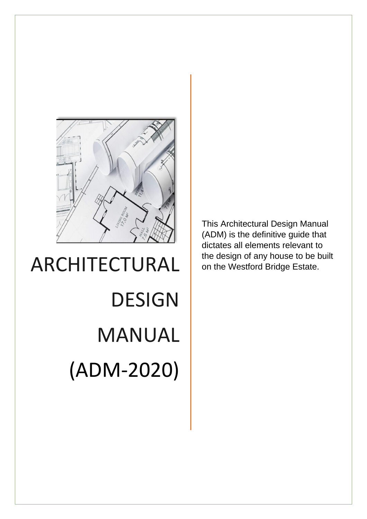

# ARCHITECTURAL DESIGN MANUAL (ADM-2020)

This Architectural Design Manual (ADM) is the definitive guide that dictates all elements relevant to the design of any house to be built on the Westford Bridge Estate.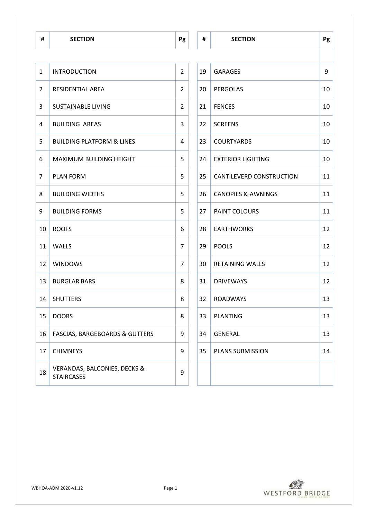| <b>INTRODUCTION</b><br>RESIDENTIAL AREA                      | $\overline{2}$ | 19 |                               |    |
|--------------------------------------------------------------|----------------|----|-------------------------------|----|
|                                                              |                |    |                               |    |
|                                                              |                |    | <b>GARAGES</b>                | 9  |
|                                                              | $\overline{2}$ | 20 | PERGOLAS                      | 10 |
| <b>SUSTAINABLE LIVING</b>                                    | $\overline{2}$ | 21 | <b>FENCES</b>                 | 10 |
| <b>BUILDING AREAS</b>                                        | 3              | 22 | <b>SCREENS</b>                | 10 |
| <b>BUILDING PLATFORM &amp; LINES</b>                         | 4              | 23 | <b>COURTYARDS</b>             | 10 |
| MAXIMUM BUILDING HEIGHT                                      | 5              | 24 | <b>EXTERIOR LIGHTING</b>      | 10 |
| <b>PLAN FORM</b>                                             | 5              | 25 | CANTILEVERD CONSTRUCTION      | 11 |
| <b>BUILDING WIDTHS</b>                                       | 5              | 26 | <b>CANOPIES &amp; AWNINGS</b> | 11 |
| <b>BUILDING FORMS</b>                                        | 5              | 27 | PAINT COLOURS                 | 11 |
| <b>ROOFS</b>                                                 | 6              | 28 | <b>EARTHWORKS</b>             | 12 |
| WALLS                                                        | $\overline{7}$ | 29 | <b>POOLS</b>                  | 12 |
| <b>WINDOWS</b>                                               | $\overline{7}$ | 30 | <b>RETAINING WALLS</b>        | 12 |
| <b>BURGLAR BARS</b>                                          | 8              | 31 | <b>DRIVEWAYS</b>              | 12 |
| <b>SHUTTERS</b>                                              | 8              | 32 | <b>ROADWAYS</b>               | 13 |
| <b>DOORS</b>                                                 | 8              | 33 | <b>PLANTING</b>               | 13 |
| <b>FASCIAS, BARGEBOARDS &amp; GUTTERS</b>                    | 9              | 34 | <b>GENERAL</b>                | 13 |
| <b>CHIMNEYS</b>                                              | 9              | 35 | PLANS SUBMISSION              | 14 |
| <b>VERANDAS, BALCONIES, DECKS &amp;</b><br><b>STAIRCASES</b> | 9              |    |                               |    |
|                                                              |                |    |                               |    |

| $\mathbf{1}$   | <b>INTRODUCTION</b>                                          | 2 |
|----------------|--------------------------------------------------------------|---|
| 2              | RESIDENTIAL AREA                                             | 2 |
| 3              | <b>SUSTAINABLE LIVING</b>                                    | 2 |
| 4              | <b>BUILDING AREAS</b>                                        | 3 |
| 5              | <b>BUILDING PLATFORM &amp; LINES</b>                         | 4 |
| 6              | MAXIMUM BUILDING HEIGHT                                      | 5 |
| $\overline{7}$ | <b>PLAN FORM</b>                                             | 5 |
| 8              | <b>BUILDING WIDTHS</b>                                       | 5 |
| 9              | <b>BUILDING FORMS</b>                                        | 5 |
| 10             | <b>ROOFS</b>                                                 | 6 |
| 11             | <b>WALLS</b>                                                 | 7 |
| 12             | <b>WINDOWS</b>                                               | 7 |
| 13             | <b>BURGLAR BARS</b>                                          | 8 |
| 14             | <b>SHUTTERS</b>                                              | 8 |
| 15             | <b>DOORS</b>                                                 | 8 |
| 16             | <b>FASCIAS, BARGEBOARDS &amp; GUTTERS</b>                    | 9 |
| 17             | <b>CHIMNEYS</b>                                              | 9 |
| 18             | <b>VERANDAS, BALCONIES, DECKS &amp;</b><br><b>STAIRCASES</b> | 9 |

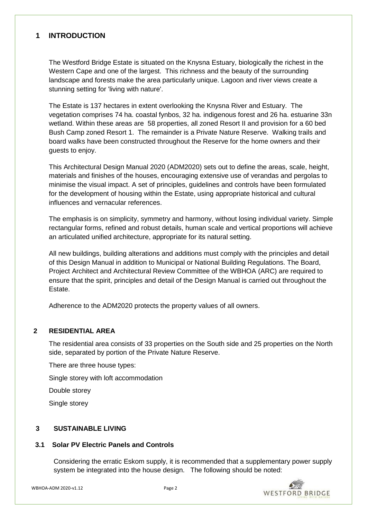# **1 INTRODUCTION**

The Westford Bridge Estate is situated on the Knysna Estuary, biologically the richest in the Western Cape and one of the largest. This richness and the beauty of the surrounding landscape and forests make the area particularly unique. Lagoon and river views create a stunning setting for 'living with nature'.

The Estate is 137 hectares in extent overlooking the Knysna River and Estuary. The vegetation comprises 74 ha. coastal fynbos, 32 ha. indigenous forest and 26 ha. estuarine 33n wetland. Within these areas are 58 properties, all zoned Resort II and provision for a 60 bed Bush Camp zoned Resort 1. The remainder is a Private Nature Reserve. Walking trails and board walks have been constructed throughout the Reserve for the home owners and their guests to enjoy.

This Architectural Design Manual 2020 (ADM2020) sets out to define the areas, scale, height, materials and finishes of the houses, encouraging extensive use of verandas and pergolas to minimise the visual impact. A set of principles, guidelines and controls have been formulated for the development of housing within the Estate, using appropriate historical and cultural influences and vernacular references.

The emphasis is on simplicity, symmetry and harmony, without losing individual variety. Simple rectangular forms, refined and robust details, human scale and vertical proportions will achieve an articulated unified architecture, appropriate for its natural setting.

All new buildings, building alterations and additions must comply with the principles and detail of this Design Manual in addition to Municipal or National Building Regulations. The Board, Project Architect and Architectural Review Committee of the WBHOA (ARC) are required to ensure that the spirit, principles and detail of the Design Manual is carried out throughout the Estate.

Adherence to the ADM2020 protects the property values of all owners.

### **2 RESIDENTIAL AREA**

The residential area consists of 33 properties on the South side and 25 properties on the North side, separated by portion of the Private Nature Reserve.

There are three house types:

Single storey with loft accommodation

Double storey

Single storey

# **3 SUSTAINABLE LIVING**

### **3.1 Solar PV Electric Panels and Controls**

Considering the erratic Eskom supply, it is recommended that a supplementary power supply system be integrated into the house design. The following should be noted:

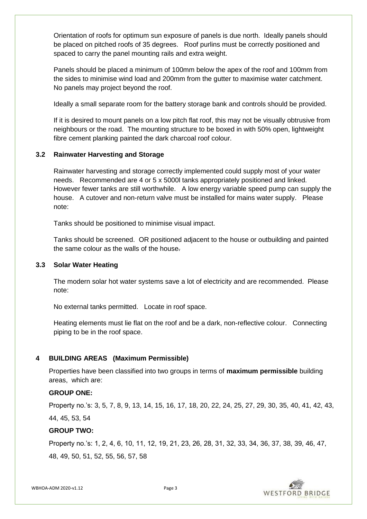Orientation of roofs for optimum sun exposure of panels is due north. Ideally panels should be placed on pitched roofs of 35 degrees. Roof purlins must be correctly positioned and spaced to carry the panel mounting rails and extra weight.

Panels should be placed a minimum of 100mm below the apex of the roof and 100mm from the sides to minimise wind load and 200mm from the gutter to maximise water catchment. No panels may project beyond the roof.

Ideally a small separate room for the battery storage bank and controls should be provided.

If it is desired to mount panels on a low pitch flat roof, this may not be visually obtrusive from neighbours or the road. The mounting structure to be boxed in with 50% open, lightweight fibre cement planking painted the dark charcoal roof colour.

#### **3.2 Rainwater Harvesting and Storage**

Rainwater harvesting and storage correctly implemented could supply most of your water needs. Recommended are 4 or 5 x 5000l tanks appropriately positioned and linked. However fewer tanks are still worthwhile. A low energy variable speed pump can supply the house. A cutover and non-return valve must be installed for mains water supply. Please note:

Tanks should be positioned to minimise visual impact.

Tanks should be screened. OR positioned adjacent to the house or outbuilding and painted the same colour as the walls of the house.

#### **3.3 Solar Water Heating**

The modern solar hot water systems save a lot of electricity and are recommended. Please note:

No external tanks permitted. Locate in roof space.

Heating elements must lie flat on the roof and be a dark, non-reflective colour. Connecting piping to be in the roof space.

#### **4 BUILDING AREAS (Maximum Permissible)**

Properties have been classified into two groups in terms of **maximum permissible** building areas, which are:

#### **GROUP ONE:**

Property no.'s: 3, 5, 7, 8, 9, 13, 14, 15, 16, 17, 18, 20, 22, 24, 25, 27, 29, 30, 35, 40, 41, 42, 43, 44, 45, 53, 54

#### **GROUP TWO:**

Property no.'s: 1, 2, 4, 6, 10, 11, 12, 19, 21, 23, 26, 28, 31, 32, 33, 34, 36, 37, 38, 39, 46, 47, 48, 49, 50, 51, 52, 55, 56, 57, 58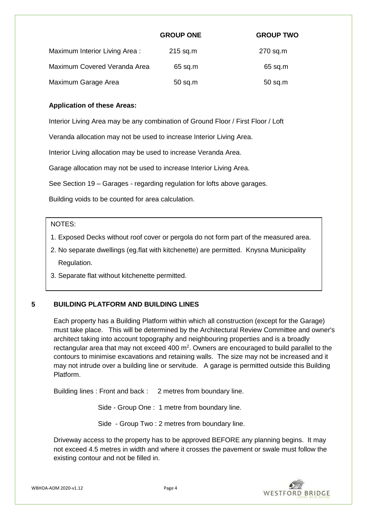|                               | <b>GROUP ONE</b> | <b>GROUP TWO</b> |
|-------------------------------|------------------|------------------|
| Maximum Interior Living Area: | $215$ sq.m       | 270 sq.m         |
| Maximum Covered Veranda Area  | $65$ sq.m        | $65$ sq.m        |
| Maximum Garage Area           | $50$ sq.m        | $50$ sq.m        |

### **Application of these Areas:**

Interior Living Area may be any combination of Ground Floor / First Floor / Loft

Veranda allocation may not be used to increase Interior Living Area.

Interior Living allocation may be used to increase Veranda Area.

Garage allocation may not be used to increase Interior Living Area.

See Section 19 – Garages - regarding regulation for lofts above garages.

Building voids to be counted for area calculation.

### NOTES:

- 1. Exposed Decks without roof cover or pergola do not form part of the measured area.
- 2. No separate dwellings (eg.flat with kitchenette) are permitted. Knysna Municipality Regulation.
- 3. Separate flat without kitchenette permitted.

# **5 BUILDING PLATFORM AND BUILDING LINES**

Each property has a Building Platform within which all construction (except for the Garage) must take place. This will be determined by the Architectural Review Committee and owner's architect taking into account topography and neighbouring properties and is a broadly rectangular area that may not exceed 400  $m<sup>2</sup>$ . Owners are encouraged to build parallel to the contours to minimise excavations and retaining walls. The size may not be increased and it may not intrude over a building line or servitude. A garage is permitted outside this Building Platform.

Building lines: Front and back: 2 metres from boundary line.

Side - Group One : 1 metre from boundary line.

Side - Group Two : 2 metres from boundary line.

Driveway access to the property has to be approved BEFORE any planning begins. It may not exceed 4.5 metres in width and where it crosses the pavement or swale must follow the existing contour and not be filled in.

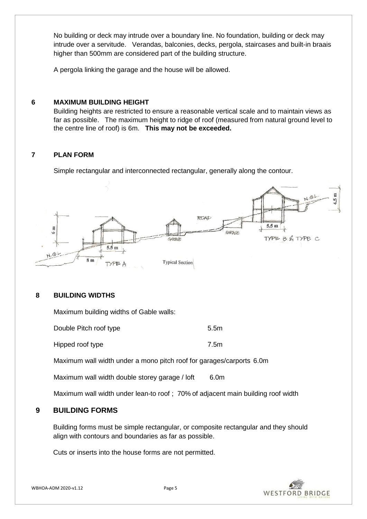No building or deck may intrude over a boundary line. No foundation, building or deck may intrude over a servitude. Verandas, balconies, decks, pergola, staircases and built-in braais higher than 500mm are considered part of the building structure.

A pergola linking the garage and the house will be allowed.

### **6 MAXIMUM BUILDING HEIGHT**

Building heights are restricted to ensure a reasonable vertical scale and to maintain views as far as possible. The maximum height to ridge of roof (measured from natural ground level to the centre line of roof) is 6m. **This may not be exceeded.**

# **7 PLAN FORM**

Simple rectangular and interconnected rectangular, generally along the contour.



### **8 BUILDING WIDTHS**

Maximum building widths of Gable walls:

| Double Pitch roof type | 5.5m |
|------------------------|------|
|                        |      |

Hipped roof type 7.5m

Maximum wall width under a mono pitch roof for garages/carports 6.0m

Maximum wall width double storey garage / loft 6.0m

Maximum wall width under lean-to roof ; 70% of adjacent main building roof width

### **9 BUILDING FORMS**

Building forms must be simple rectangular, or composite rectangular and they should align with contours and boundaries as far as possible.

Cuts or inserts into the house forms are not permitted.

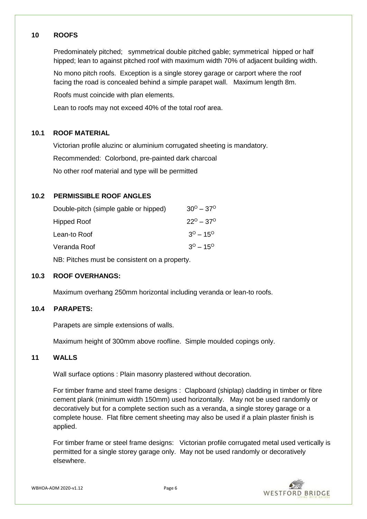#### **10 ROOFS**

Predominately pitched; symmetrical double pitched gable; symmetrical hipped or half hipped; lean to against pitched roof with maximum width 70% of adjacent building width.

No mono pitch roofs. Exception is a single storey garage or carport where the roof facing the road is concealed behind a simple parapet wall. Maximum length 8m.

Roofs must coincide with plan elements.

Lean to roofs may not exceed 40% of the total roof area.

## **10.1 ROOF MATERIAL**

Victorian profile aluzinc or aluminium corrugated sheeting is mandatory.

Recommended: Colorbond, pre-painted dark charcoal

No other roof material and type will be permitted

# **10.2 PERMISSIBLE ROOF ANGLES**

| Double-pitch (simple gable or hipped)    |  |
|------------------------------------------|--|
| $22^{\circ} - 37^{\circ}$<br>Hipped Roof |  |
| $3^0 - 15^0$<br>Lean-to Roof             |  |
| $3^0 - 15^0$<br>Veranda Roof             |  |

NB: Pitches must be consistent on a property.

### **10.3 ROOF OVERHANGS:**

Maximum overhang 250mm horizontal including veranda or lean-to roofs.

### **10.4 PARAPETS:**

Parapets are simple extensions of walls.

Maximum height of 300mm above roofline. Simple moulded copings only.

# **11 WALLS**

Wall surface options : Plain masonry plastered without decoration.

For timber frame and steel frame designs : Clapboard (shiplap) cladding in timber or fibre cement plank (minimum width 150mm) used horizontally. May not be used randomly or decoratively but for a complete section such as a veranda, a single storey garage or a complete house. Flat fibre cement sheeting may also be used if a plain plaster finish is applied.

For timber frame or steel frame designs: Victorian profile corrugated metal used vertically is permitted for a single storey garage only. May not be used randomly or decoratively elsewhere.

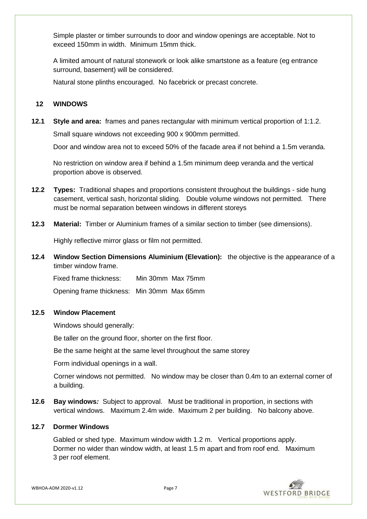Simple plaster or timber surrounds to door and window openings are acceptable. Not to exceed 150mm in width. Minimum 15mm thick.

A limited amount of natural stonework or look alike smartstone as a feature (eg entrance surround, basement) will be considered.

Natural stone plinths encouraged. No facebrick or precast concrete.

#### **12 WINDOWS**

**12.1 Style and area:** frames and panes rectangular with minimum vertical proportion of 1:1.2.

Small square windows not exceeding 900 x 900mm permitted.

Door and window area not to exceed 50% of the facade area if not behind a 1.5m veranda.

No restriction on window area if behind a 1.5m minimum deep veranda and the vertical proportion above is observed.

- **12.2 Types:** Traditional shapes and proportions consistent throughout the buildings side hung casement, vertical sash, horizontal sliding. Double volume windows not permitted. There must be normal separation between windows in different storeys
- **12.3 Material:** Timber or Aluminium frames of a similar section to timber (see dimensions).

Highly reflective mirror glass or film not permitted.

**12.4 Window Section Dimensions Aluminium (Elevation):** the objective is the appearance of a timber window frame.

Fixed frame thickness: Min 30mm Max 75mm

Opening frame thickness: Min 30mm Max 65mm

#### **12.5 Window Placement**

Windows should generally:

Be taller on the ground floor, shorter on the first floor.

Be the same height at the same level throughout the same storey

Form individual openings in a wall.

Corner windows not permitted. No window may be closer than 0.4m to an external corner of a building.

**12.6 Bay windows***:* Subject to approval. Must be traditional in proportion, in sections with vertical windows. Maximum 2.4m wide. Maximum 2 per building. No balcony above.

#### **12.7 Dormer Windows**

Gabled or shed type. Maximum window width 1.2 m. Vertical proportions apply. Dormer no wider than window width, at least 1.5 m apart and from roof end. Maximum 3 per roof element.

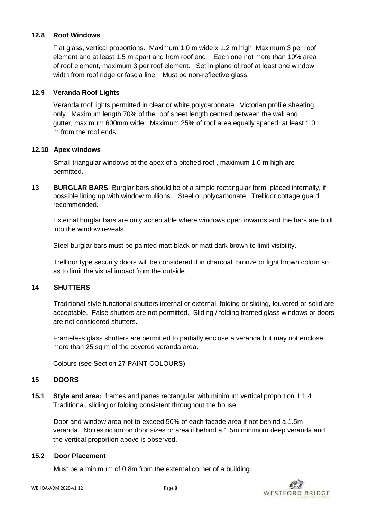#### **12.8 Roof Windows**

Flat glass, vertical proportions. Maximum 1,0 m wide x 1.2 m high. Maximum 3 per roof element and at least 1,5 m apart and from roof end. Each one not more than 10% area of roof element, maximum 3 per roof element. Set in plane of roof at least one window width from roof ridge or fascia line. Must be non-reflective glass.

## **12.9 Veranda Roof Lights**

Veranda roof lights permitted in clear or white polycarbonate. Victorian profile sheeting only. Maximum length 70% of the roof sheet length centred between the wall and gutter, maximum 600mm wide. Maximum 25% of roof area equally spaced, at least 1.0 m from the roof ends.

#### **12.10 Apex windows**

Small triangular windows at the apex of a pitched roof , maximum 1.0 m high are permitted.

**13 BURGLAR BARS** Burglar bars should be of a simple rectangular form, placed internally, if possible lining up with window mullions. Steel or polycarbonate. Trellidor cottage guard recommended.

External burglar bars are only acceptable where windows open inwards and the bars are built into the window reveals.

Steel burglar bars must be painted matt black or matt dark brown to limit visibility.

Trellidor type security doors will be considered if in charcoal, bronze or light brown colour so as to limit the visual impact from the outside.

### **14 SHUTTERS**

Traditional style functional shutters internal or external, folding or sliding, louvered or solid are acceptable. False shutters are not permitted. Sliding / folding framed glass windows or doors are not considered shutters.

Frameless glass shutters are permitted to partially enclose a veranda but may not enclose more than 25 sq.m of the covered veranda area.

Colours (see Section 27 PAINT COLOURS)

### **15 DOORS**

**15.1 Style and area:** frames and panes rectangular with minimum vertical proportion 1:1.4. Traditional, sliding or folding consistent throughout the house.

Door and window area not to exceed 50% of each facade area if not behind a 1.5m veranda. No restriction on door sizes or area if behind a 1.5m minimum deep veranda and the vertical proportion above is observed.

## **15.2 Door Placement**

Must be a minimum of 0.8m from the external corner of a building.

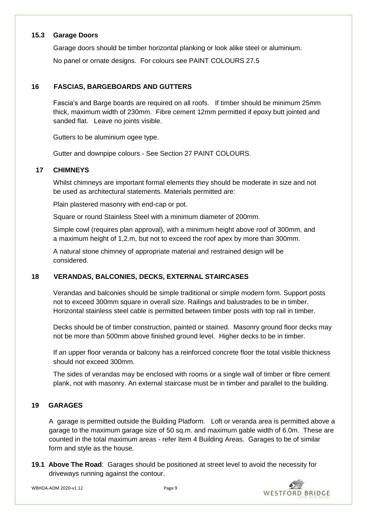#### **15.3 Garage Doors**

Garage doors should be timber horizontal planking or look alike steel or aluminium. No panel or ornate designs. For colours see PAINT COLOURS 27.5

# **16 FASCIAS, BARGEBOARDS AND GUTTERS**

Fascia's and Barge boards are required on all roofs. If timber should be minimum 25mm thick, maximum width of 230mm. Fibre cement 12mm permitted if epoxy butt jointed and sanded flat. Leave no joints visible.

Gutters to be aluminium ogee type.

Gutter and downpipe colours - See Section 27 PAINT COLOURS.

# **17 CHIMNEYS**

Whilst chimneys are important formal elements they should be moderate in size and not be used as architectural statements. Materials permitted are:

Plain plastered masonry with end-cap or pot.

Square or round Stainless Steel with a minimum diameter of 200mm.

Simple cowl (requires plan approval), with a minimum height above roof of 300mm, and a maximum height of 1,2.m, but not to exceed the roof apex by more than 300mm.

A natural stone chimney of appropriate material and restrained design will be considered.

# **18 VERANDAS, BALCONIES, DECKS, EXTERNAL STAIRCASES**

Verandas and balconies should be simple traditional or simple modern form. Support posts not to exceed 300mm square in overall size. Railings and balustrades to be in timber. Horizontal stainless steel cable is permitted between timber posts with top rail in timber.

Decks should be of timber construction, painted or stained. Masonry ground floor decks may not be more than 500mm above finished ground level. Higher decks to be in timber.

If an upper floor veranda or balcony has a reinforced concrete floor the total visible thickness should not exceed 300mm.

The sides of verandas may be enclosed with rooms or a single wall of timber or fibre cement plank, not with masonry. An external staircase must be in timber and parallel to the building.

# **19 GARAGES**

A garage is permitted outside the Building Platform. Loft or veranda area is permitted above a garage to the maximum garage size of 50 sq.m. and maximum gable width of 6.0m. These are counted in the total maximum areas - refer Item 4 Building Areas. Garages to be of similar form and style as the house.

**19.1 Above The Road**: Garages should be positioned at street level to avoid the necessity for driveways running against the contour.



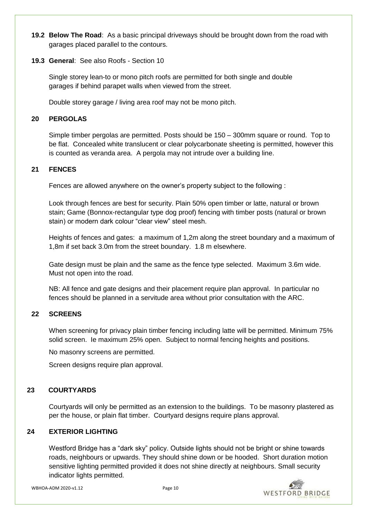- **19.2 Below The Road**: As a basic principal driveways should be brought down from the road with garages placed parallel to the contours.
- **19.3 General**: See also Roofs Section 10

Single storey lean-to or mono pitch roofs are permitted for both single and double garages if behind parapet walls when viewed from the street.

Double storey garage / living area roof may not be mono pitch.

# **20 PERGOLAS**

Simple timber pergolas are permitted. Posts should be 150 – 300mm square or round. Top to be flat. Concealed white translucent or clear polycarbonate sheeting is permitted, however this is counted as veranda area. A pergola may not intrude over a building line.

# **21 FENCES**

Fences are allowed anywhere on the owner's property subject to the following :

Look through fences are best for security. Plain 50% open timber or latte, natural or brown stain; Game (Bonnox-rectangular type dog proof) fencing with timber posts (natural or brown stain) or modern dark colour "clear view" steel mesh.

 Heights of fences and gates: a maximum of 1,2m along the street boundary and a maximum of 1,8m if set back 3.0m from the street boundary. 1.8 m elsewhere.

Gate design must be plain and the same as the fence type selected. Maximum 3.6m wide. Must not open into the road.

NB: All fence and gate designs and their placement require plan approval. In particular no fences should be planned in a servitude area without prior consultation with the ARC.

# **22 SCREENS**

When screening for privacy plain timber fencing including latte will be permitted. Minimum 75% solid screen. Ie maximum 25% open. Subject to normal fencing heights and positions.

No masonry screens are permitted.

Screen designs require plan approval.

# **23 COURTYARDS**

Courtyards will only be permitted as an extension to the buildings. To be masonry plastered as per the house, or plain flat timber. Courtyard designs require plans approval.

# **24 EXTERIOR LIGHTING**

Westford Bridge has a "dark sky" policy. Outside lights should not be bright or shine towards roads, neighbours or upwards. They should shine down or be hooded. Short duration motion sensitive lighting permitted provided it does not shine directly at neighbours. Small security indicator lights permitted.

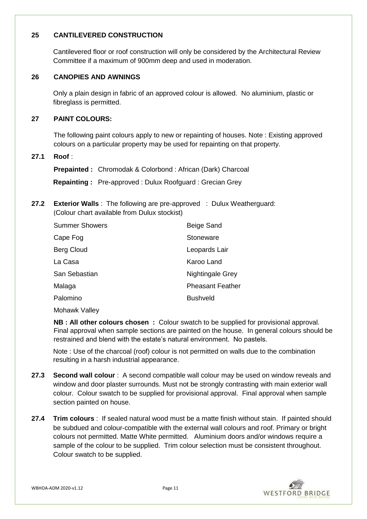## **25 CANTILEVERED CONSTRUCTION**

Cantilevered floor or roof construction will only be considered by the Architectural Review Committee if a maximum of 900mm deep and used in moderation.

## **26 CANOPIES AND AWNINGS**

Only a plain design in fabric of an approved colour is allowed. No aluminium, plastic or fibreglass is permitted.

# **27 PAINT COLOURS:**

The following paint colours apply to new or repainting of houses. Note : Existing approved colours on a particular property may be used for repainting on that property.

### **27.1 Roof** :

**Prepainted :** Chromodak & Colorbond : African (Dark) Charcoal **Repainting :** Pre-approved : Dulux Roofguard : Grecian Grey

**27.2 Exterior Walls** : The following are pre-approved : Dulux Weatherguard: (Colour chart available from Dulux stockist)

| <b>Summer Showers</b> | Beige Sand              |
|-----------------------|-------------------------|
| Cape Fog              | Stoneware               |
| Berg Cloud            | Leopards Lair           |
| La Casa               | Karoo Land              |
| San Sebastian         | Nightingale Grey        |
| Malaga                | <b>Pheasant Feather</b> |
| Palomino              | <b>Bushveld</b>         |
|                       |                         |

Mohawk Valley

**NB : All other colours chosen :** Colour swatch to be supplied for provisional approval. Final approval when sample sections are painted on the house. In general colours should be restrained and blend with the estate's natural environment. No pastels.

Note : Use of the charcoal (roof) colour is not permitted on walls due to the combination resulting in a harsh industrial appearance.

- **27.3 Second wall colour** : A second compatible wall colour may be used on window reveals and window and door plaster surrounds. Must not be strongly contrasting with main exterior wall colour. Colour swatch to be supplied for provisional approval. Final approval when sample section painted on house.
- **27.4 Trim colours** : If sealed natural wood must be a matte finish without stain. If painted should be subdued and colour-compatible with the external wall colours and roof. Primary or bright colours not permitted. Matte White permitted. Aluminium doors and/or windows require a sample of the colour to be supplied. Trim colour selection must be consistent throughout. Colour swatch to be supplied.

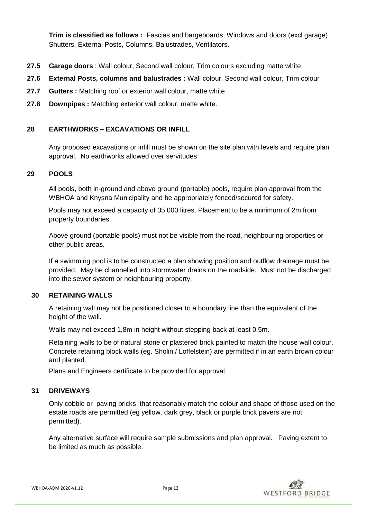**Trim is classified as follows :** Fascias and bargeboards, Windows and doors (excl garage) Shutters, External Posts, Columns, Balustrades, Ventilators.

- **27.5 Garage doors** : Wall colour, Second wall colour, Trim colours excluding matte white
- **27.6 External Posts, columns and balustrades :** Wall colour, Second wall colour, Trim colour
- **27.7 Gutters :** Matching roof or exterior wall colour, matte white.
- **27.8 Downpipes :** Matching exterior wall colour, matte white.

#### **28 EARTHWORKS – EXCAVATIONS OR INFILL**

Any proposed excavations or infill must be shown on the site plan with levels and require plan approval. No earthworks allowed over servitudes

#### **29 POOLS**

All pools, both in-ground and above ground (portable) pools, require plan approval from the WBHOA and Knysna Municipality and be appropriately fenced/secured for safety.

Pools may not exceed a capacity of 35 000 litres. Placement to be a minimum of 2m from property boundaries.

Above ground (portable pools) must not be visible from the road, neighbouring properties or other public areas.

If a swimming pool is to be constructed a plan showing position and outflow drainage must be provided. May be channelled into stormwater drains on the roadside. Must not be discharged into the sewer system or neighbouring property.

### **30 RETAINING WALLS**

A retaining wall may not be positioned closer to a boundary line than the equivalent of the height of the wall.

Walls may not exceed 1,8m in height without stepping back at least 0.5m.

Retaining walls to be of natural stone or plastered brick painted to match the house wall colour. Concrete retaining block walls (eg. Sholin / Loffelstein) are permitted if in an earth brown colour and planted.

Plans and Engineers certificate to be provided for approval.

## **31 DRIVEWAYS**

Only cobble or paving bricks that reasonably match the colour and shape of those used on the estate roads are permitted (eg yellow, dark grey, black or purple brick pavers are not permitted).

Any alternative surface will require sample submissions and plan approval. Paving extent to be limited as much as possible.

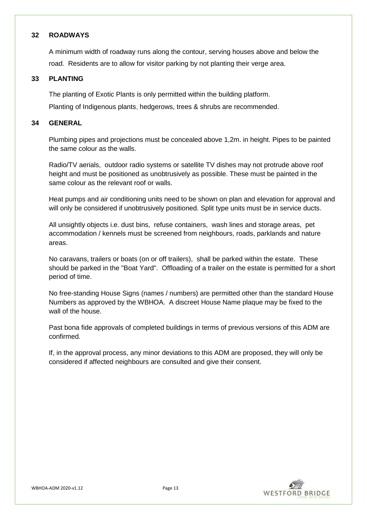#### **32 ROADWAYS**

A minimum width of roadway runs along the contour, serving houses above and below the road. Residents are to allow for visitor parking by not planting their verge area.

## **33 PLANTING**

The planting of Exotic Plants is only permitted within the building platform.

Planting of Indigenous plants, hedgerows, trees & shrubs are recommended.

#### **34 GENERAL**

Plumbing pipes and projections must be concealed above 1,2m. in height. Pipes to be painted the same colour as the walls.

Radio/TV aerials, outdoor radio systems or satellite TV dishes may not protrude above roof height and must be positioned as unobtrusively as possible. These must be painted in the same colour as the relevant roof or walls.

Heat pumps and air conditioning units need to be shown on plan and elevation for approval and will only be considered if unobtrusively positioned. Split type units must be in service ducts.

All unsightly objects i.e. dust bins, refuse containers, wash lines and storage areas, pet accommodation / kennels must be screened from neighbours, roads, parklands and nature areas.

No caravans, trailers or boats (on or off trailers), shall be parked within the estate. These should be parked in the "Boat Yard". Offloading of a trailer on the estate is permitted for a short period of time.

No free-standing House Signs (names / numbers) are permitted other than the standard House Numbers as approved by the WBHOA. A discreet House Name plaque may be fixed to the wall of the house.

Past bona fide approvals of completed buildings in terms of previous versions of this ADM are confirmed.

If, in the approval process, any minor deviations to this ADM are proposed, they will only be considered if affected neighbours are consulted and give their consent.